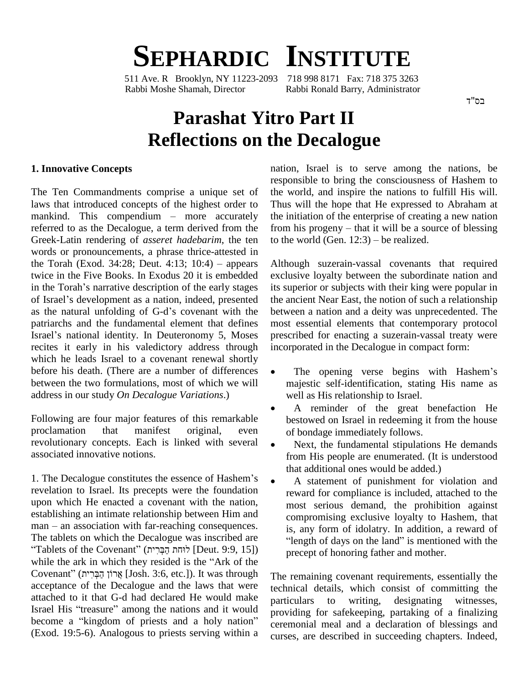# **SEPHARDIC INSTITUTE**

511 Ave. R Brooklyn, NY 11223-2093 718 998 8171 Fax: 718 375 3263 Rabbi Moshe Shamah, Director Rabbi Ronald Barry, Administrator

בס"ד

# **Parashat Yitro Part II Reflections on the Decalogue**

#### **1. Innovative Concepts**

The Ten Commandments comprise a unique set of laws that introduced concepts of the highest order to Thus The Ten Commandments comprise a unique set of the well<br>aws that introduced concepts of the highest order to Thus<br>mankind. This compendium – more accurately the ini referred to as the Decalogue, a term derived from the Greek-Latin rendering of *asseret hadebarim*, the ten to the words or pronouncements, a phrase thrice-attested in the Torah (Exod. 34:28; Deut. 4:13; 10:4) – appears Althou words or pronouncements, a phrase thrice-attested in twice in the Five Books. In Exodus 20 it is embedded the Torah (Exod. 34:28; Deut. 4:13;  $10:4$ ) – appears twice in the Five Books. In Exodus 20 it is embedded exclus<br>in the Torah's narrative description of the early stages its sup<br>of Israel's development as a nation, indeed, presented the an in the Torah's narrative description of the early stages its support is development as a nation, indeed, presented the and as the natural unfolding of G-d's covenant with the between patriarchs and the fundamental element that defines as the natural unfolding of G-d's covenant with the betw<br>patriarchs and the fundamental element that defines mos<br>Israel's national identity. In Deuteronomy 5, Moses pres recites it early in his valedictory address through which he leads Israel to a covenant renewal shortly before his death. (There are a number of differences  $\bullet$ between the two formulations, most of which we will address in our study *On Decalogue Variations*.)

Following are four major features of this remarkable proclamation that manifest original, even of bondage immediately follows. revolutionary concepts. Each is linked with several associated innovative notions.

that additional ones would be added.)<br>1. The Decalogue constitutes the essence of Hashem's  $\bullet$  A statement of punishment for v revelation to Israel. Its precepts were the foundation upon which He enacted a covenant with the nation, establishing an intimate relationship between Him and man – an association with far-reaching consequences. establishing an intimate relationship between Him and The tablets on which the Decalogue was inscribed are "length of days on the land" is mentioned with the  $man - an association with far-reaching consequences.$ nan – an association with far-reaching consequences.<br>Tablets on which the Decalogue was inscribed are<br>Tablets of the Covenant" (וֹהת הַבְּרִית) [Deut. 9:9, 15]) The tablets on which the Decalogue was inscribed are<br>
"Tablets of the Covenant" (הִבְּרִית) [Deut. 9:9, 15])<br>
while the ark in which they resided is the "Ark of the  $\text{``Tables of the Covenant''}\ (\text{F7}, 99, 15])$  ( $\text{P13}\ (\text{F8}, 15)$  while the ark in which they resided is the "Ark of the Covenant" (הַבְּרִית  $\text{Josh. 3:6, etc.}$ ). It was through acceptance of the Decalogue and the laws that were<br>attached to it that G-d had declared He would make<br>Israel His "treasure" among the nations and it would attached to it that G-d had declared He would make Israel His "treasure" among the nations and it would<br>become a "kingdom of priests and a holy nation" (Exod. 19:5-6). Analogous to priests serving within a

nation, Israel is to serve among the nations, be responsible to bring the consciousness of Hashem to the world, and inspire the nations to fulfill His will. Thus will the hope that He expressed to Abraham at the initiation of the enterprise of creating a new nation Thus will the hope that He expressed to Abraham at<br>the initiation of the enterprise of creating a new nation<br>from his progeny – that it will be a source of blessing the initiation of the enterprise of creating a<br>from his progeny – that it will be a source<br>to the world (Gen.  $12:3$ ) – be realized.

Although suzerain-vassal covenants that required exclusive loyalty between the subordinate nation and its superior or subjects with their king were popular in the ancient Near East, the notion of such a relationship between a nation and a deity was unprecedented. The most essential elements that contemporary protocol prescribed for enacting a suzerain-vassal treaty were incorporated in the Decalogue in compact form:

- The opening verse begins with Hashem's majestic self-identification, stating His name as well as His relationship to Israel.
- A reminder of the great benefaction He  $\bullet$ bestowed on Israel in redeeming it from the house of bondage immediately follows.
- Next, the fundamental stipulations He demands from His people are enumerated. (It is understood that additional ones would be added.)
- A statement of punishment for violation and reward for compliance is included, attached to the most serious demand, the prohibition against compromising exclusive loyalty to Hashem, that compromising exclusive loyalty to Hashem, that<br>is, any form of idolatry. In addition, a reward of<br>"length of days on the land" is mentioned with the precept of honoring father and mother.

The remaining covenant requirements, essentially the technical details, which consist of committing the to writing, designating witnesses, providing for safekeeping, partaking of a finalizing ceremonial meal and a declaration of blessings and curses, are described in succeeding chapters. Indeed,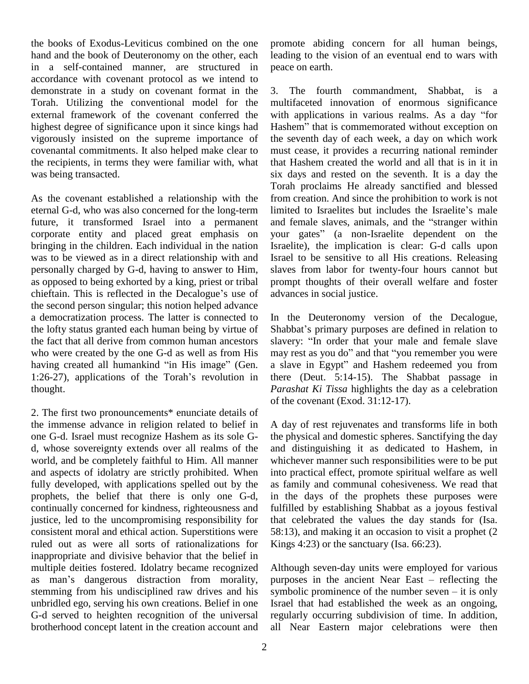the books of Exodus-Leviticus combined on the one hand and the book of Deuteronomy on the other, each in a self-contained manner, are structured in accordance with covenant protocol as we intend to demonstrate in a study on covenant format in the Torah. Utilizing the conventional model for the external framework of the covenant conferred the highest degree of significance upon it since kings had Hashem" that is commemorated without exception on vigorously insisted on the supreme importance of covenantal commitments. It also helped make clear to the recipients, in terms they were familiar with, what was being transacted.

As the covenant established a relationship with the eternal G-d, who was also concerned for the long-term future, it transformed Israel into a permanent and female slaves, animals, and the "stranger within corporate entity and placed great emphasis on your gates" (a non-Israelite dependent on the bringing in the children. Each individual in the nation was to be viewed as in a direct relationship with and personally charged by G-d, having to answer to Him, as opposed to being exhorted by a king, priest or tribal chieftain. This is reflected in the Decalogue's use of the second person singular; this notion helped advance a democratization process. The latter is connected to the lofty status granted each human being by virtue of the fact that all derive from common human ancestors slavery: "In order that your male and female slave who were created by the one G-d as well as from His having created all humankind "in His image" (Gen. 1:26-27), applications of the Torah's revolution in thought.

2. The first two pronouncements\* enunciate details of the immense advance in religion related to belief in one G-d. Israel must recognize Hashem as its sole G d, whose sovereignty extends over all realms of the world, and be completely faithful to Him. All manner and aspects of idolatry are strictly prohibited. When fully developed, with applications spelled out by the prophets, the belief that there is only one G-d, continually concerned for kindness, righteousness and justice, led to the uncompromising responsibility for consistent moral and ethical action. Superstitions were ruled out as were all sorts of rationalizations for inappropriate and divisive behavior that the belief in multiple deities fostered. Idolatry became recognized as man's dangerous distraction from morality, stemming from his undisciplined raw drives and his symbolic prominence of the number seven – it is only unbridled ego, serving his own creations. Belief in one G-d served to heighten recognition of the universal brotherhood concept latent in the creation account and

promote abiding concern for all human beings, leading to the vision of an eventual end to wars with peace on earth.

The fourth commandment, Shabbat, is a multifaceted innovation of enormous significance 3. The fourth commandment, Shabbat, is a<br>multifaceted innovation of enormous significance<br>with applications in various realms. As a day "for multifaceted innovation of enormous significance<br>with applications in various realms. As a day "for<br>Hashem" that is commemorated without exception on the seventh day of each week, a day on which work must cease, it provides a recurring national reminder that Hashem created the world and all that is in it in six days and rested on the seventh. It is a day the Torah proclaims He already sanctified and blessed<br>from creation. And since the prohibition to work is not<br>limited to Israelites but includes the Israelite's male from creation. And since the prohibition to work is not limited to Israelites but includes the Israelite's male and female slaves, animals, and the "stranger within limited to Israelites but includes the Israelite's male Israelite), the implication is clear: G-d calls upon Israel to be sensitive to all His creations. Releasing slaves from labor for twenty-four hours cannot but prompt thoughts of their overall welfare and foster advances in social justice.

In the Deuteronomy version of the Decalogue, In the Deuteronomy version of the Decalogue,<br>Shabbat's primary purposes are defined in relation to In the Deuteronomy version of the Decalogue,<br>Shabbat's primary purposes are defined in relation to<br>slavery: "In order that your male and female slave may rest as you do" and that "you remember you were a slave in Egypt" and Hashem redeemed you from there (Deut. 5:14-15). The Shabbat passage in *Parashat Ki Tissa* highlights the day as a celebration of the covenant (Exod. 31:12-17).

A day of rest rejuvenates and transforms life in both the physical and domestic spheres. Sanctifying the day and distinguishing it as dedicated to Hashem, in whichever manner such responsibilities were to be put into practical effect, promote spiritual welfare as well as family and communal cohesiveness. We read that in the days of the prophets these purposes were fulfilled by establishing Shabbat as a joyous festival that celebrated the values the day stands for (Isa. 58:13), and making it an occasion to visit a prophet (2 Kings  $4:23$ ) or the sanctuary (Isa. 66:23).

Although seven-day units were employed for various Although seven-day units were employed for various<br>purposes in the ancient Near East – reflecting the Although seven-day units were employed for various<br>purposes in the ancient Near East – reflecting the<br>symbolic prominence of the number seven – it is only Israel that had established the week as an ongoing, regularly occurring subdivision of time. In addition, all Near Eastern major celebrations were then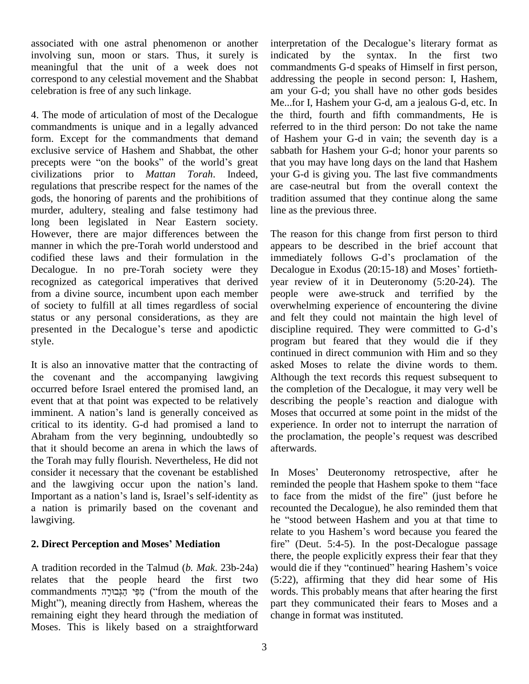associated with one astral phenomenon or another involving sun, moon or stars. Thus, it surely is meaningful that the unit of a week does not correspond to any celestial movement and the Shabbat celebration is free of any such linkage.

4. The mode of articulation of most of the Decalogue commandments is unique and in a legally advanced form. Except for the commandments that demand exclusive service of Hashem and Shabbat, the other precepts were "on the books" of the world's great civilizations prior to *Mattan Torah*. Indeed, regulations that prescribe respect for the names of the gods, the honoring of parents and the prohibitions of murder, adultery, stealing and false testimony had long been legislated in Near Eastern society. However, there are major differences between the manner in which the pre-Torah world understood and codified these laws and their formulation in the Decalogue. In no pre-Torah society were they Decalogue in Exodus (20:15-18) and Moses' fortiethrecognized as categorical imperatives that derived from a divine source, incumbent upon each member of society to fulfill at all times regardless of social overvent status or any personal considerations, as they are and presented in the Decalogue's terse and apodictic discip status or any personal considerations, as they are style.

It is also an innovative matter that the contracting of the covenant and the accompanying lawgiving occurred before Israel entered the promised land, an the co<br>event that at that point was expected to be relatively describin<br>imminent. A nation's land is generally conceived as Moses event that at that point was expected to be relatively describing the people's reaction and dialogue with critical to its identity. G-d had promised a land to Abraham from the very beginning, undoubtedly so the proclamation, the people's request was described that it should become an arena in which the laws of the Torah may fully flourish. Nevertheless, He did not consider it necessary that the covenant be established In M the Torah may fully flourish. Nevertheless, He did not<br>consider it necessary that the covenant be established In<br>and the lawgiving occur upon the nation's land. and the lawgiving occur upon the nation's land.<br>Important as a nation's land is, Israel's self-identity as a nation is primarily based on the covenant and lawgiving.

### **2. Direct Perception and Moses<sup>í</sup> Mediation**

relates that the people heard the first two (5:22) k tradition recorded in the Talmud (*b. Mak.* 23b-24a) woul-<br>relates that the people heard the first two (5:22<br>commandments הְּבָּי הַגְּבוּרָה ("from the mouth of the word") relates that the people heard the first two (5:22<br>commandments פְּל הַגְּבוּרָה ("from the mouth of the word<br>Might"), meaning directly from Hashem, whereas the part remaining eight they heard through the mediation of Moses. This is likely based on a straightforward

interpretation of the Decalogue's literary format as indicated by the syntax. In the first two commandments G-d speaks of Himself in first person, addressing the people in second person: I, Hashem, am your G-d; you shall have no other gods besides Me...for I, Hashem your G-d, am a jealous G-d, etc. In the third, fourth and fifth commandments, He is referred to in the third person: Do not take the name of Hashem your G-d in vain; the seventh day is a sabbath for Hashem your G-d; honor your parents so that you may have long days on the land that Hashem your G-d is giving you. The last five commandments are case-neutral but from the overall context the tradition assumed that they continue along the same line as the previous three.

The reason for this change from first person to third appears to be described in the brief account that The reason for this change from first person to third<br>appears to be described in the brief account that<br>immediately follows G-d's proclamation of the appears to be described in the brief account that<br>immediately follows G-d's proclamation of the<br>Decalogue in Exodus (20:15-18) and Moses' fortiethyear review of it in Deuteronomy (5:20-24). The people were awe-struck and terrified by the overwhelming experience of encountering the divine discipline required. They were committed to G-dí<sup>s</sup> and felt they could not maintain the high level of program but feared that they would die if they continued in direct communion with Him and so they asked Moses to relate the divine words to them. Although the text records this request subsequent to the completion of the Decalogue, it may very well be describing the people's reaction and dialogue with the completion of the Decalogue, it may very well be Moses that occurred at some point in the midst of the experience. In order not to interrupt the narration of Moses that occurred at some point in the midst of the experience. In order not to interrupt the narration of the proclamation, the people's request was described afterwards.

A tradition recorded in the Talmud (*b. Mak*. 23b-24a) In Moses' Deuteronomy retrospective, after he In Moses' Deuteronomy retrospective, after he<br>reminded the people that Hashem spoke to them "face In Moses' Deuteronomy retrospective, after he<br>reminded the people that Hashem spoke to them "face<br>to face from the midst of the fire" (just before he recounted the Decalogue), he also reminded them that<br>he "stood between Hashem and you at that time to<br>relate to you Hashem's word because you feared the to face from the midst of the fire" (just before he he "stood between Hashem and you at that time to relate to you Hashem's word because you feared the fire" (Deut. 5:4-5). In the post-Decalogue passage there, the people explicitly express their fear that they fire" (Deut. 5:4-5). In the post-Decalogue passage there, the people explicitly express their fear that they would die if they "continued" hearing Hashem's voice (5:22), affirming that they did hear some of His words. This probably means that after hearing the first part they communicated their fears to Moses and a change in format was instituted.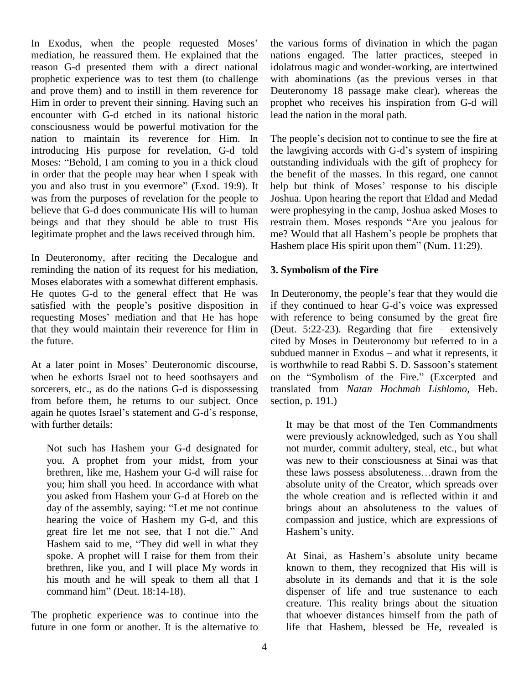In Exodus, when the people requested Moses' mediation, he reassured them. He explained that the reason G-d presented them with a direct national prophetic experience was to test them (to challenge and prove them) and to instill in them reverence for Him in order to prevent their sinning. Having such an encounter with G-d etched in its national historic consciousness would be powerful motivation for the nation to maintain its reverence for Him. In introducing His purpose for revelation, G-d told nation to maintain its reverence for Him. In The pointroducing His purpose for revelation, G-d told the lave Moses: "Behold, I am coming to you in a thick cloud outsta in order that the people may hear when I speak with Moses: "Behold, I am coming to you in a thick cloud outstanding individuals with the gift of prophecy for in order that the people may hear when I speak with the benefit of the masses. In this regard, one cannot you and al was from the purposes of revelation for the people to believe that G-d does communicate His will to human beings and that they should be able to trust His restrain them. Moses responds "Are you jealous for legitimate prophet and the laws received through him.

In Deuteronomy, after reciting the Decalogue and reminding the nation of its request for his mediation, Moses elaborates with a somewhat different emphasis. He quotes G-d to the general effect that He was In D Moses elaborates with a somewhat different emphasis.<br>He quotes G-d to the general effect that He was In Deu<br>satisfied with the people's positive disposition in if they He quotes G-d to the general effect that He was In De<br>satisfied with the people's positive disposition in if the<br>requesting Moses' mediation and that He has hope with that they would maintain their reverence for Him in (Deut.  $5:22-23$ ). Regarding that fire – extensively the future.

when he exhorts Israel not to heed soothsayers and on the "Symbolism of the Fire." (Excerpted and sorcerers, etc., as do the nations G-d is dispossessing translastic from before them, he returns to our subject. Once section again he quotes Israel's statement and G-d's response, from before them, he returns to our subject. Once with further details:

Not such has Hashem your G-d designated for you. A prophet from your midst, from your brethren, like me, Hashem your G-d will raise for you; him shall you heed. In accordance with what<br>
you asked from Hashem your G-d at Horeb on the<br>
day of the assembly, saying: "Let me not continue b you asked from Hashem your G-d at Horeb on the hearing the voice of Hashem my G-d, and this day of the assembly, saying: "Let me not continue bri<br>hearing the voice of Hashem my G-d, and this co<br>great fire let me not see, that I not die." And Ha hearing the voice of Hashem my G-d, and this co<br>great fire let me not see, that I not die." And Hashem said to me, "They did well in what they spoke. A prophet will I raise for them from their brethren, like you, and I will place My words in his mouth and he will speak to them all that I brethren, like you, and I will place I<br>his mouth and he will speak to the<br>command him" (Deut. 18:14-18).

The prophetic experience was to continue into the future in one form or another. It is the alternative to the various forms of divination in which the pagan nations engaged. The latter practices, steeped in idolatrous magic and wonder-working, are intertwined with abominations (as the previous verses in that Deuteronomy 18 passage make clear), whereas the prophet who receives his inspiration from G-d will lead the nation in the moral path.

The people's decision not to continue to see the fire at the lawgiving accords with G-d's system of inspiring outstanding individuals with the gift of prophecy for help but think of Moses<sup>í</sup> response to his disciple the benefit of the masses. In this regard, one cannot Joshua. Upon hearing the report that Eldad and Medad were prophesying in the camp, Joshua asked Moses to Joshua. Upon hearing the report that Eldad and Medad<br>were prophesying in the camp, Joshua asked Moses to<br>restrain them. Moses responds "Are you jealous for were prophesying in the camp, Joshua asked Moses to<br>restrain them. Moses responds "Are you jealous for<br>me? Would that all Hashem's people be prophets that me? Would that all Hashem's people be prophets that Hashem place His spirit upon them" (Num. 11:29).

#### **3. Symbolism of the Fire**

subdued manner in Exodus – and what it represents, it<br>At a later point in Moses' Deuteronomic discourse, is worthwhile to read Rabbi S. D. Sassoon's statement In Deuteronomy, the people's fear that they would die In Deuteronomy, the people's fear that they would die<br>if they continued to hear G-d's voice was expressed with reference to being consumed by the great fire if they continued to hear G-d's voice was expressed<br>with reference to being consumed by the great fire<br>(Deut. 5:22-23). Regarding that fire  $-$  extensively cited by Moses in Deuteronomy but referred to in a (Deut. 5:22-23). Regarding that fire  $-$  extensively cited by Moses in Deuteronomy but referred to in a subdued manner in Exodus  $-$  and what it represents, it cited by Moses in Deuteronomy but referred to in a<br>subdued manner in Exodus – and what it represents, it<br>is worthwhile to read Rabbi S. D. Sassoon's statement subdued manner in Exodus – and what it represents, it<br>is worthwhile to read Rabbi S. D. Sassoon's statement<br>on the "Symbolism of the Fire." (Excerpted and translated from *Natan Hochmah Lishlomo*, Heb. section, p. 191.)

> It may be that most of the Ten Commandments were previously acknowledged, such as You shall not murder, commit adultery, steal, etc., but what was new to their consciousness at Sinai was that these laws possess absoluteness...drawn from the absolute unity of the Creator, which spreads over the whole creation and is reflected within it and brings about an absoluteness to the values of compassion and justice, which are expressions of brings about an ab<br>compassion and just<br>Hashem's unity. Hashem's unity.<br>At Sinai, as Hashem's absolute unity became

known to them, they recognized that His will is absolute in its demands and that it is the sole dispenser of life and true sustenance to each creature. This reality brings about the situation that whoever distances himself from the path of life that Hashem, blessed be He, revealed is